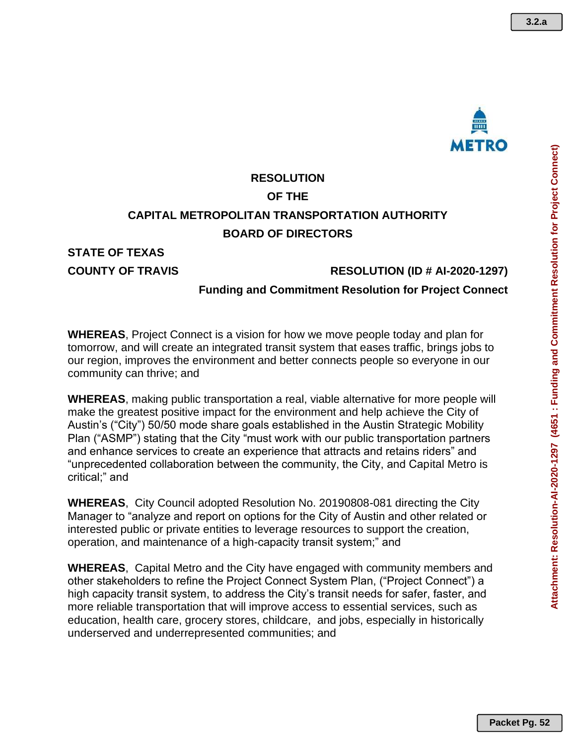

**3.2.a**

# **RESOLUTION OF THE CAPITAL METROPOLITAN TRANSPORTATION AUTHORITY BOARD OF DIRECTORS**

## **STATE OF TEXAS**

#### **COUNTY OF TRAVIS RESOLUTION (ID # AI-2020-1297)**

### **Funding and Commitment Resolution for Project Connect**

**WHEREAS**, Project Connect is a vision for how we move people today and plan for tomorrow, and will create an integrated transit system that eases traffic, brings jobs to our region, improves the environment and better connects people so everyone in our community can thrive; and

**WHEREAS**, making public transportation a real, viable alternative for more people will make the greatest positive impact for the environment and help achieve the City of Austin's ("City") 50/50 mode share goals established in the Austin Strategic Mobility Plan ("ASMP") stating that the City "must work with our public transportation partners and enhance services to create an experience that attracts and retains riders" and "unprecedented collaboration between the community, the City, and Capital Metro is critical;" and

**WHEREAS**, City Council adopted Resolution No. 20190808-081 directing the City Manager to "analyze and report on options for the City of Austin and other related or interested public or private entities to leverage resources to support the creation, operation, and maintenance of a high-capacity transit system;" and

**WHEREAS**, Capital Metro and the City have engaged with community members and other stakeholders to refine the Project Connect System Plan, ("Project Connect") a high capacity transit system, to address the City's transit needs for safer, faster, and more reliable transportation that will improve access to essential services, such as education, health care, grocery stores, childcare, and jobs, especially in historically underserved and underrepresented communities; and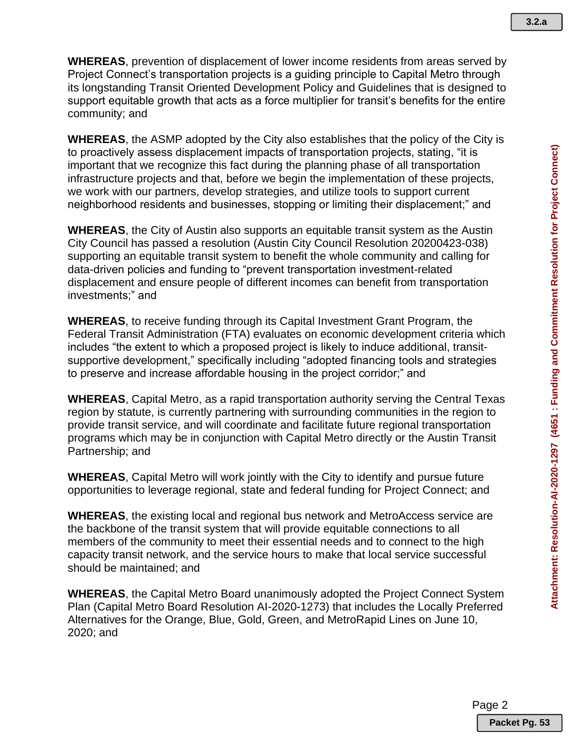**WHEREAS**, prevention of displacement of lower income residents from areas served by Project Connect's transportation projects is a guiding principle to Capital Metro through its longstanding Transit Oriented Development Policy and Guidelines that is designed to support equitable growth that acts as a force multiplier for transit's benefits for the entire community; and

**WHEREAS**, the ASMP adopted by the City also establishes that the policy of the City is to proactively assess displacement impacts of transportation projects, stating, "it is important that we recognize this fact during the planning phase of all transportation infrastructure projects and that, before we begin the implementation of these projects, we work with our partners, develop strategies, and utilize tools to support current neighborhood residents and businesses, stopping or limiting their displacement;" and

**WHEREAS**, the City of Austin also supports an equitable transit system as the Austin City Council has passed a resolution [\(Austin City Council Resolution 20200423-038\)](https://www.austintexas.gov/edims/document.cfm?id=339042) supporting an equitable transit system to benefit the whole community and calling for data-driven policies and funding to "prevent transportation investment-related displacement and ensure people of different incomes can benefit from transportation investments;" and

**WHEREAS**, to receive funding through its Capital Investment Grant Program, the Federal Transit Administration (FTA) evaluates on economic development criteria which includes "the extent to which a proposed project is likely to induce additional, transitsupportive development," specifically including "adopted financing tools and strategies to preserve and increase affordable housing in the project corridor;" and

**WHEREAS**, Capital Metro, as a rapid transportation authority serving the Central Texas region by statute, is currently partnering with surrounding communities in the region to provide transit service, and will coordinate and facilitate future regional transportation programs which may be in conjunction with Capital Metro directly or the Austin Transit Partnership; and

**WHEREAS**, Capital Metro will work jointly with the City to identify and pursue future opportunities to leverage regional, state and federal funding for Project Connect; and

**WHEREAS**, the existing local and regional bus network and MetroAccess service are the backbone of the transit system that will provide equitable connections to all members of the community to meet their essential needs and to connect to the high capacity transit network, and the service hours to make that local service successful should be maintained; and

**WHEREAS**, the Capital Metro Board unanimously adopted the Project Connect System Plan (Capital Metro Board Resolution AI-2020-1273) that includes the Locally Preferred Alternatives for the Orange, Blue, Gold, Green, and MetroRapid Lines on June 10, 2020; and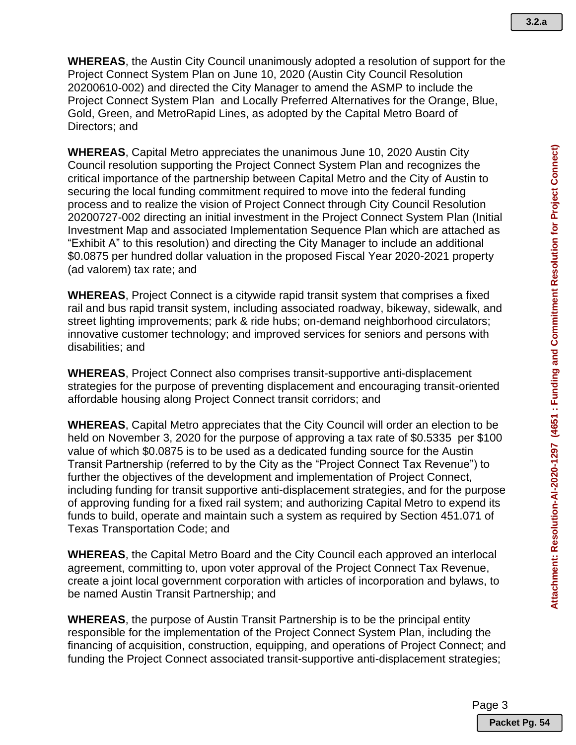**WHEREAS**, the Austin City Council unanimously adopted a resolution of support for the Project Connect System Plan on June 10, 2020 (Austin City Council Resolution 20200610-002) and directed the City Manager to amend the ASMP to include the Project Connect System Plan and Locally Preferred Alternatives for the Orange, Blue, Gold, Green, and MetroRapid Lines, as adopted by the Capital Metro Board of Directors; and

**WHEREAS**, Capital Metro appreciates the unanimous June 10, 2020 Austin City Council resolution supporting the Project Connect System Plan and recognizes the critical importance of the partnership between Capital Metro and the City of Austin to securing the local funding commitment required to move into the federal funding process and to realize the vision of Project Connect through City Council Resolution 20200727-002 directing an initial investment in the Project Connect System Plan (Initial Investment Map and associated Implementation Sequence Plan which are attached as "Exhibit A" to this resolution) and directing the City Manager to include an additional \$0.0875 per hundred dollar valuation in the proposed Fiscal Year 2020-2021 property (ad valorem) tax rate; and

**WHEREAS**, Project Connect is a citywide rapid transit system that comprises a fixed rail and bus rapid transit system, including associated roadway, bikeway, sidewalk, and street lighting improvements; park & ride hubs; on-demand neighborhood circulators; innovative customer technology; and improved services for seniors and persons with disabilities; and

**WHEREAS**, Project Connect also comprises transit-supportive anti-displacement strategies for the purpose of preventing displacement and encouraging transit-oriented affordable housing along Project Connect transit corridors; and

**WHEREAS**, Capital Metro appreciates that the City Council will order an election to be held on November 3, 2020 for the purpose of approving a tax rate of \$0.5335 per \$100 value of which \$0.0875 is to be used as a dedicated funding source for the Austin Transit Partnership (referred to by the City as the "Project Connect Tax Revenue") to further the objectives of the development and implementation of Project Connect, including funding for transit supportive anti-displacement strategies, and for the purpose of approving funding for a fixed rail system; and authorizing Capital Metro to expend its funds to build, operate and maintain such a system as required by Section 451.071 of Texas Transportation Code; and

**WHEREAS**, the Capital Metro Board and the City Council each approved an interlocal agreement, committing to, upon voter approval of the Project Connect Tax Revenue, create a joint local government corporation with articles of incorporation and bylaws, to be named Austin Transit Partnership; and

**WHEREAS**, the purpose of Austin Transit Partnership is to be the principal entity responsible for the implementation of the Project Connect System Plan, including the financing of acquisition, construction, equipping, and operations of Project Connect; and funding the Project Connect associated transit-supportive anti-displacement strategies;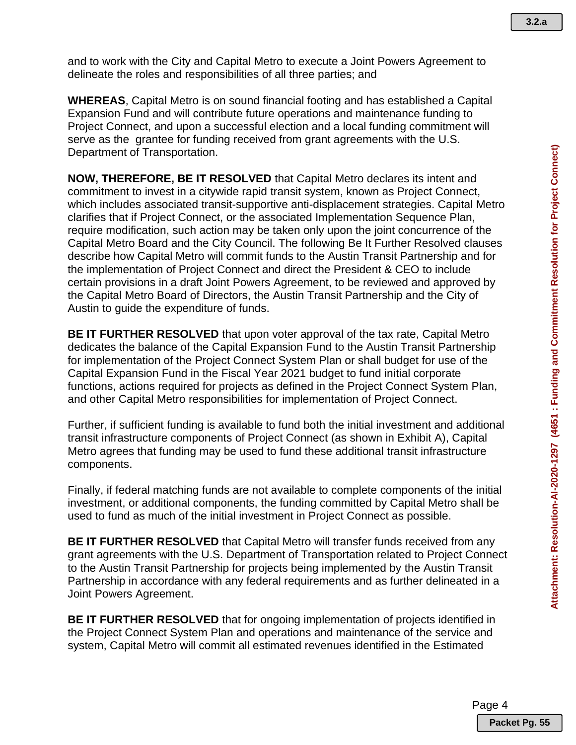**3.2.a**

and to work with the City and Capital Metro to execute a Joint Powers Agreement to delineate the roles and responsibilities of all three parties; and

**WHEREAS**, Capital Metro is on sound financial footing and has established a Capital Expansion Fund and will contribute future operations and maintenance funding to Project Connect, and upon a successful election and a local funding commitment will serve as the grantee for funding received from grant agreements with the U.S. Department of Transportation.

**NOW, THEREFORE, BE IT RESOLVED** that Capital Metro declares its intent and commitment to invest in a citywide rapid transit system, known as Project Connect, which includes associated transit-supportive anti-displacement strategies. Capital Metro clarifies that if Project Connect, or the associated Implementation Sequence Plan, require modification, such action may be taken only upon the joint concurrence of the Capital Metro Board and the City Council. The following Be It Further Resolved clauses describe how Capital Metro will commit funds to the Austin Transit Partnership and for the implementation of Project Connect and direct the President & CEO to include certain provisions in a draft Joint Powers Agreement, to be reviewed and approved by the Capital Metro Board of Directors, the Austin Transit Partnership and the City of Austin to guide the expenditure of funds.

**BE IT FURTHER RESOLVED** that upon voter approval of the tax rate, Capital Metro dedicates the balance of the Capital Expansion Fund to the Austin Transit Partnership for implementation of the Project Connect System Plan or shall budget for use of the Capital Expansion Fund in the Fiscal Year 2021 budget to fund initial corporate functions, actions required for projects as defined in the Project Connect System Plan, and other Capital Metro responsibilities for implementation of Project Connect.

Further, if sufficient funding is available to fund both the initial investment and additional transit infrastructure components of Project Connect (as shown in Exhibit A), Capital Metro agrees that funding may be used to fund these additional transit infrastructure components.

Finally, if federal matching funds are not available to complete components of the initial investment, or additional components, the funding committed by Capital Metro shall be used to fund as much of the initial investment in Project Connect as possible.

**BE IT FURTHER RESOLVED** that Capital Metro will transfer funds received from any grant agreements with the U.S. Department of Transportation related to Project Connect to the Austin Transit Partnership for projects being implemented by the Austin Transit Partnership in accordance with any federal requirements and as further delineated in a Joint Powers Agreement.

**BE IT FURTHER RESOLVED** that for ongoing implementation of projects identified in the Project Connect System Plan and operations and maintenance of the service and system, Capital Metro will commit all estimated revenues identified in the Estimated

Page 4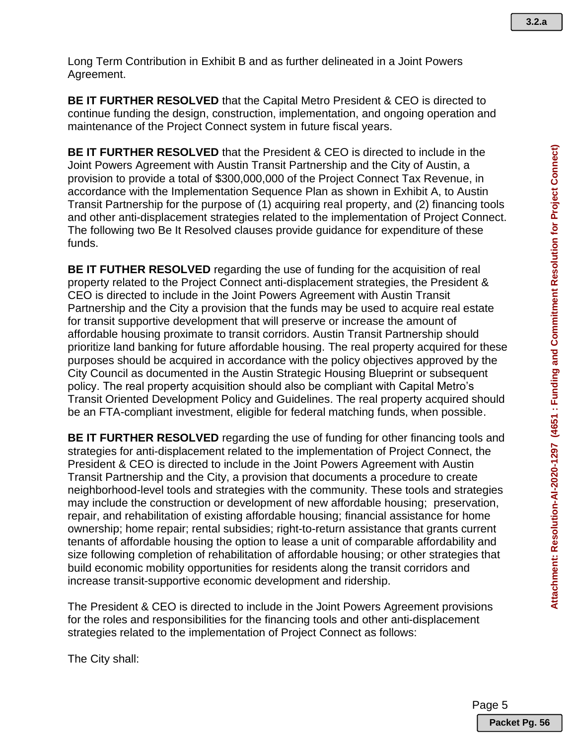Long Term Contribution in Exhibit B and as further delineated in a Joint Powers Agreement.

**BE IT FURTHER RESOLVED** that the Capital Metro President & CEO is directed to continue funding the design, construction, implementation, and ongoing operation and maintenance of the Project Connect system in future fiscal years.

**BE IT FURTHER RESOLVED** that the President & CEO is directed to include in the Joint Powers Agreement with Austin Transit Partnership and the City of Austin, a provision to provide a total of \$300,000,000 of the Project Connect Tax Revenue, in accordance with the Implementation Sequence Plan as shown in Exhibit A, to Austin Transit Partnership for the purpose of (1) acquiring real property, and (2) financing tools and other anti-displacement strategies related to the implementation of Project Connect. The following two Be It Resolved clauses provide guidance for expenditure of these funds.

**BE IT FUTHER RESOLVED** regarding the use of funding for the acquisition of real property related to the Project Connect anti-displacement strategies, the President & CEO is directed to include in the Joint Powers Agreement with Austin Transit Partnership and the City a provision that the funds may be used to acquire real estate for transit supportive development that will preserve or increase the amount of affordable housing proximate to transit corridors. Austin Transit Partnership should prioritize land banking for future affordable housing. The real property acquired for these purposes should be acquired in accordance with the policy objectives approved by the City Council as documented in the Austin Strategic Housing Blueprint or subsequent policy. The real property acquisition should also be compliant with Capital Metro's Transit Oriented Development Policy and Guidelines. The real property acquired should be an FTA-compliant investment, eligible for federal matching funds, when possible.

**BE IT FURTHER RESOLVED** regarding the use of funding for other financing tools and strategies for anti-displacement related to the implementation of Project Connect, the President & CEO is directed to include in the Joint Powers Agreement with Austin Transit Partnership and the City, a provision that documents a procedure to create neighborhood-level tools and strategies with the community. These tools and strategies may include the construction or development of new affordable housing; preservation, repair, and rehabilitation of existing affordable housing; financial assistance for home ownership; home repair; rental subsidies; right-to-return assistance that grants current tenants of affordable housing the option to lease a unit of comparable affordability and size following completion of rehabilitation of affordable housing; or other strategies that build economic mobility opportunities for residents along the transit corridors and increase transit-supportive economic development and ridership.

The President & CEO is directed to include in the Joint Powers Agreement provisions for the roles and responsibilities for the financing tools and other anti-displacement strategies related to the implementation of Project Connect as follows:

The City shall: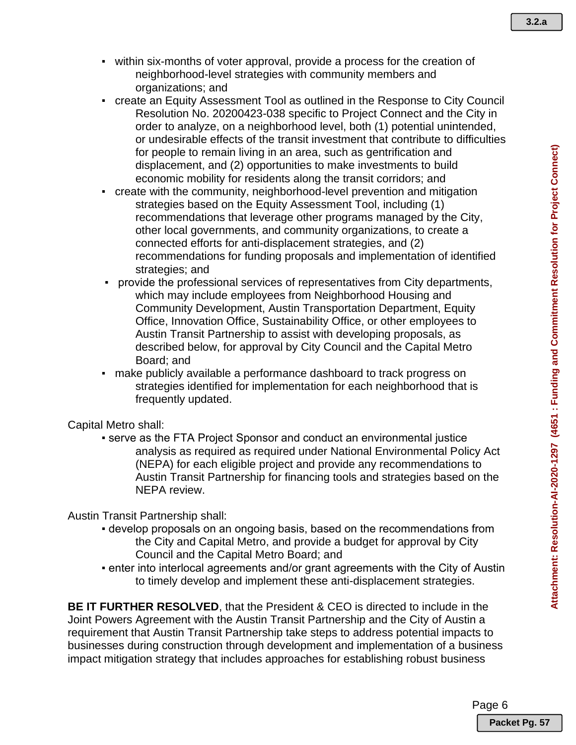- within six-months of voter approval, provide a process for the creation of neighborhood-level strategies with community members and organizations; and
- create an Equity Assessment Tool as outlined in the Response to City Council Resolution No. 20200423-038 specific to Project Connect and the City in order to analyze, on a neighborhood level, both (1) potential unintended, or undesirable effects of the transit investment that contribute to difficulties for people to remain living in an area, such as gentrification and displacement, and (2) opportunities to make investments to build economic mobility for residents along the transit corridors; and
- create with the community, neighborhood-level prevention and mitigation strategies based on the Equity Assessment Tool, including (1) recommendations that leverage other programs managed by the City, other local governments, and community organizations, to create a connected efforts for anti-displacement strategies, and (2) recommendations for funding proposals and implementation of identified strategies; and
- provide the professional services of representatives from City departments, which may include employees from Neighborhood Housing and Community Development, Austin Transportation Department, Equity Office, Innovation Office, Sustainability Office, or other employees to Austin Transit Partnership to assist with developing proposals, as described below, for approval by City Council and the Capital Metro Board; and
- make publicly available a performance dashboard to track progress on strategies identified for implementation for each neighborhood that is frequently updated.

Capital Metro shall:

**• serve as the FTA Project Sponsor and conduct an environmental justice** analysis as required as required under National Environmental Policy Act (NEPA) for each eligible project and provide any recommendations to Austin Transit Partnership for financing tools and strategies based on the NEPA review.

#### Austin Transit Partnership shall:

- develop proposals on an ongoing basis, based on the recommendations from the City and Capital Metro, and provide a budget for approval by City Council and the Capital Metro Board; and
- enter into interlocal agreements and/or grant agreements with the City of Austin to timely develop and implement these anti-displacement strategies.

**BE IT FURTHER RESOLVED**, that the President & CEO is directed to include in the Joint Powers Agreement with the Austin Transit Partnership and the City of Austin a requirement that Austin Transit Partnership take steps to address potential impacts to businesses during construction through development and implementation of a business impact mitigation strategy that includes approaches for establishing robust business

Page 6

**Packet Pg. 57**